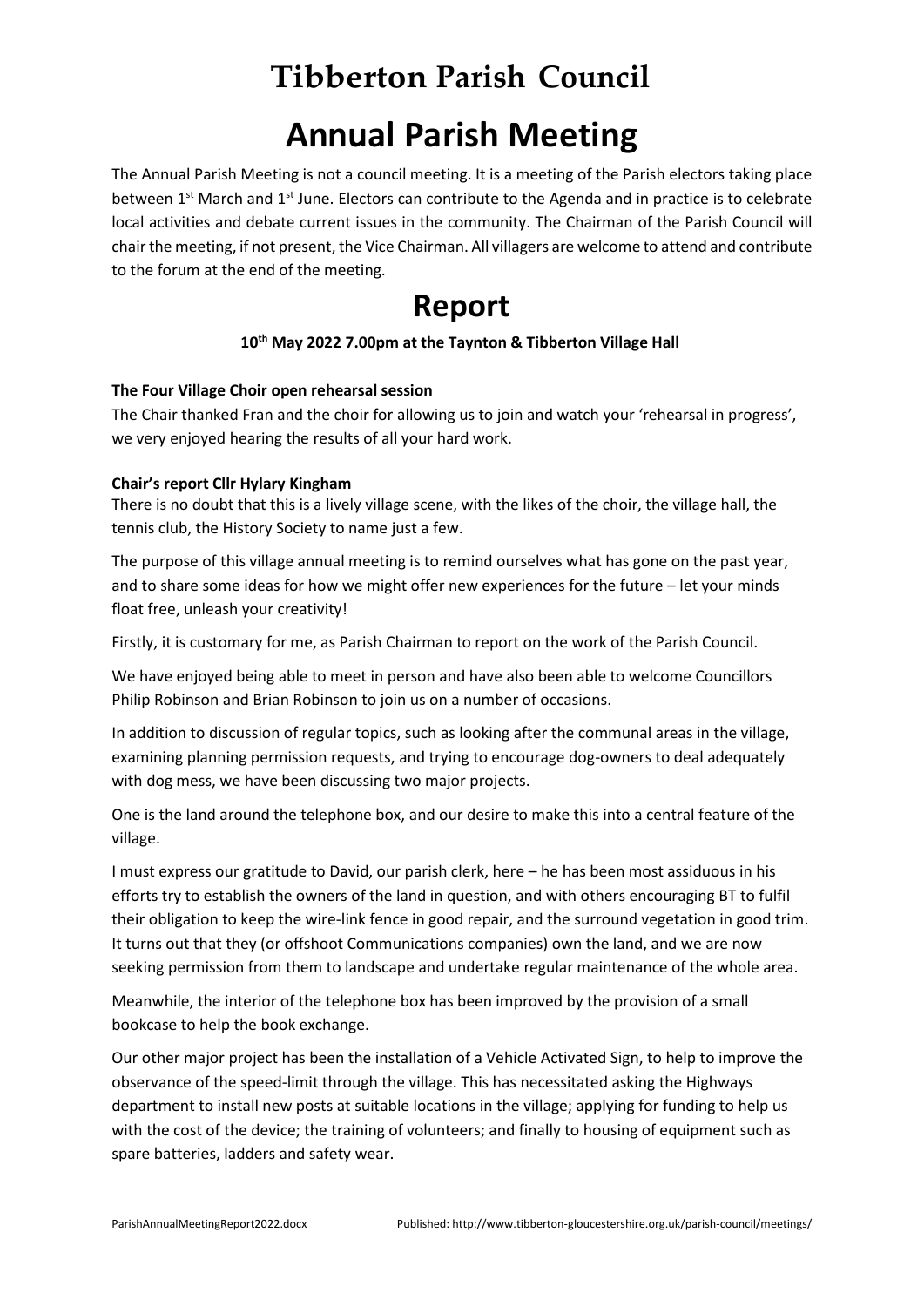# **Tibberton Parish Council**

# **Annual Parish Meeting**

The Annual Parish Meeting is not a council meeting. It is a meeting of the Parish electors taking place between  $1<sup>st</sup>$  March and  $1<sup>st</sup>$  June. Electors can contribute to the Agenda and in practice is to celebrate local activities and debate current issues in the community. The Chairman of the Parish Council will chair the meeting, if not present, the Vice Chairman. All villagers are welcome to attend and contribute to the forum at the end of the meeting.

# **Report**

# **10 th May 2022 7.00pm at the Taynton & Tibberton Village Hall**

### **The Four Village Choir open rehearsal session**

The Chair thanked Fran and the choir for allowing us to join and watch your 'rehearsal in progress', we very enjoyed hearing the results of all your hard work.

### **Chair's report Cllr Hylary Kingham**

There is no doubt that this is a lively village scene, with the likes of the choir, the village hall, the tennis club, the History Society to name just a few.

The purpose of this village annual meeting is to remind ourselves what has gone on the past year, and to share some ideas for how we might offer new experiences for the future – let your minds float free, unleash your creativity!

Firstly, it is customary for me, as Parish Chairman to report on the work of the Parish Council.

We have enjoyed being able to meet in person and have also been able to welcome Councillors Philip Robinson and Brian Robinson to join us on a number of occasions.

In addition to discussion of regular topics, such as looking after the communal areas in the village, examining planning permission requests, and trying to encourage dog-owners to deal adequately with dog mess, we have been discussing two major projects.

One is the land around the telephone box, and our desire to make this into a central feature of the village.

I must express our gratitude to David, our parish clerk, here – he has been most assiduous in his efforts try to establish the owners of the land in question, and with others encouraging BT to fulfil their obligation to keep the wire-link fence in good repair, and the surround vegetation in good trim. It turns out that they (or offshoot Communications companies) own the land, and we are now seeking permission from them to landscape and undertake regular maintenance of the whole area.

Meanwhile, the interior of the telephone box has been improved by the provision of a small bookcase to help the book exchange.

Our other major project has been the installation of a Vehicle Activated Sign, to help to improve the observance of the speed-limit through the village. This has necessitated asking the Highways department to install new posts at suitable locations in the village; applying for funding to help us with the cost of the device; the training of volunteers; and finally to housing of equipment such as spare batteries, ladders and safety wear.